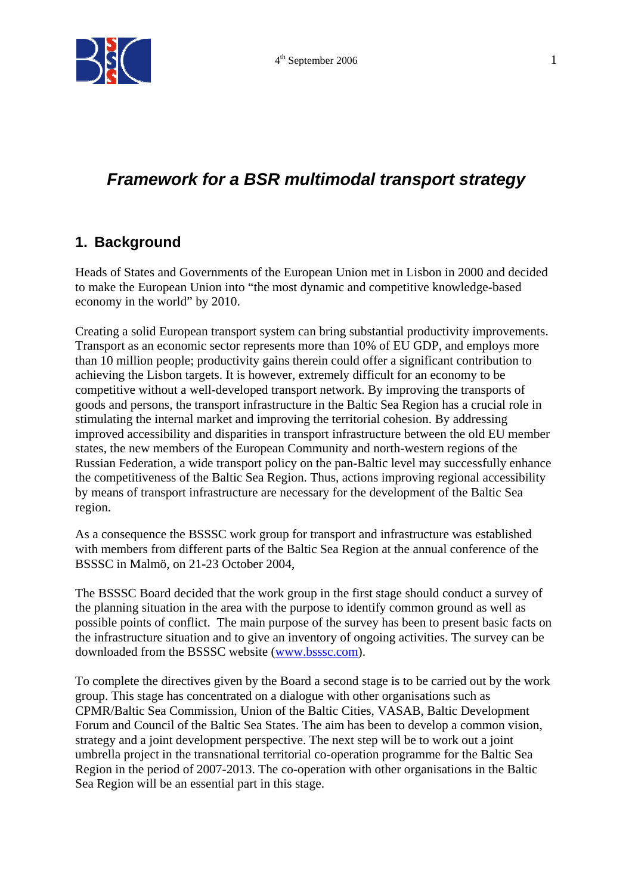

# **Framework for a BSR multimodal transport strategy**

### **1. Background**

Heads of States and Governments of the European Union met in Lisbon in 2000 and decided to make the European Union into "the most dynamic and competitive knowledge-based economy in the world" by 2010.

Creating a solid European transport system can bring substantial productivity improvements. Transport as an economic sector represents more than 10% of EU GDP, and employs more than 10 million people; productivity gains therein could offer a significant contribution to achieving the Lisbon targets. It is however, extremely difficult for an economy to be competitive without a well-developed transport network. By improving the transports of goods and persons, the transport infrastructure in the Baltic Sea Region has a crucial role in stimulating the internal market and improving the territorial cohesion. By addressing improved accessibility and disparities in transport infrastructure between the old EU member states, the new members of the European Community and north-western regions of the Russian Federation, a wide transport policy on the pan-Baltic level may successfully enhance the competitiveness of the Baltic Sea Region. Thus, actions improving regional accessibility by means of transport infrastructure are necessary for the development of the Baltic Sea region.

As a consequence the BSSSC work group for transport and infrastructure was established with members from different parts of the Baltic Sea Region at the annual conference of the BSSSC in Malmö, on 21-23 October 2004,

The BSSSC Board decided that the work group in the first stage should conduct a survey of the planning situation in the area with the purpose to identify common ground as well as possible points of conflict. The main purpose of the survey has been to present basic facts on the infrastructure situation and to give an inventory of ongoing activities. The survey can be downloaded from the BSSSC website (www.bsssc.com).

To complete the directives given by the Board a second stage is to be carried out by the work group. This stage has concentrated on a dialogue with other organisations such as CPMR/Baltic Sea Commission, Union of the Baltic Cities, VASAB, Baltic Development Forum and Council of the Baltic Sea States. The aim has been to develop a common vision, strategy and a joint development perspective. The next step will be to work out a joint umbrella project in the transnational territorial co-operation programme for the Baltic Sea Region in the period of 2007-2013. The co-operation with other organisations in the Baltic Sea Region will be an essential part in this stage.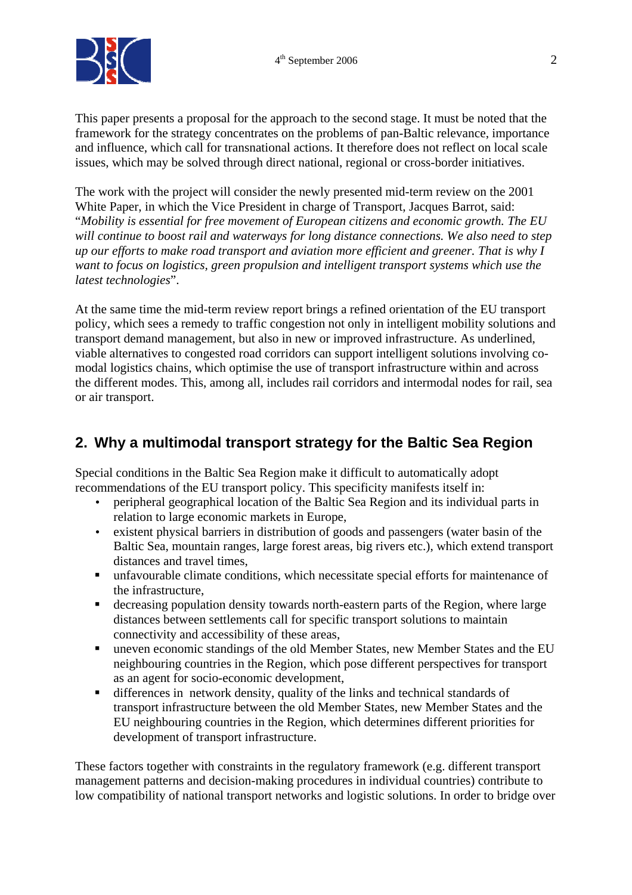

This paper presents a proposal for the approach to the second stage. It must be noted that the framework for the strategy concentrates on the problems of pan-Baltic relevance, importance and influence, which call for transnational actions. It therefore does not reflect on local scale issues, which may be solved through direct national, regional or cross-border initiatives.

The work with the project will consider the newly presented mid-term review on the 2001 White Paper, in which the Vice President in charge of Transport, Jacques Barrot, said: "*Mobility is essential for free movement of European citizens and economic growth. The EU will continue to boost rail and waterways for long distance connections. We also need to step up our efforts to make road transport and aviation more efficient and greener. That is why I want to focus on logistics, green propulsion and intelligent transport systems which use the latest technologies*".

At the same time the mid-term review report brings a refined orientation of the EU transport policy, which sees a remedy to traffic congestion not only in intelligent mobility solutions and transport demand management, but also in new or improved infrastructure. As underlined, viable alternatives to congested road corridors can support intelligent solutions involving comodal logistics chains, which optimise the use of transport infrastructure within and across the different modes. This, among all, includes rail corridors and intermodal nodes for rail, sea or air transport.

## **2. Why a multimodal transport strategy for the Baltic Sea Region**

Special conditions in the Baltic Sea Region make it difficult to automatically adopt recommendations of the EU transport policy. This specificity manifests itself in:

- peripheral geographical location of the Baltic Sea Region and its individual parts in relation to large economic markets in Europe,
- existent physical barriers in distribution of goods and passengers (water basin of the Baltic Sea, mountain ranges, large forest areas, big rivers etc.), which extend transport distances and travel times,
- unfavourable climate conditions, which necessitate special efforts for maintenance of the infrastructure,
- decreasing population density towards north-eastern parts of the Region, where large distances between settlements call for specific transport solutions to maintain connectivity and accessibility of these areas,
- uneven economic standings of the old Member States, new Member States and the EU neighbouring countries in the Region, which pose different perspectives for transport as an agent for socio-economic development,
- differences in network density, quality of the links and technical standards of transport infrastructure between the old Member States, new Member States and the EU neighbouring countries in the Region, which determines different priorities for development of transport infrastructure.

These factors together with constraints in the regulatory framework (e.g. different transport management patterns and decision-making procedures in individual countries) contribute to low compatibility of national transport networks and logistic solutions. In order to bridge over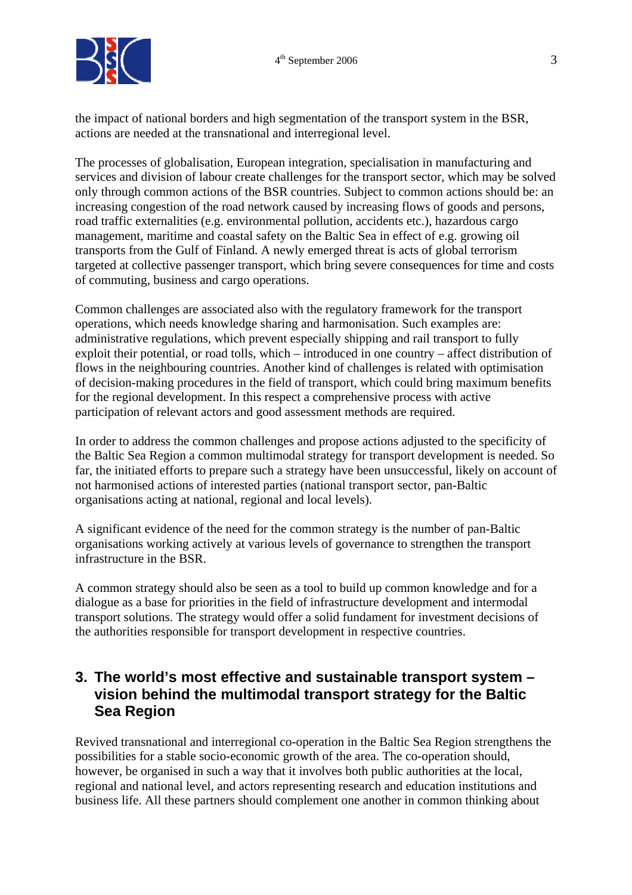

the impact of national borders and high segmentation of the transport system in the BSR, actions are needed at the transnational and interregional level.

The processes of globalisation, European integration, specialisation in manufacturing and services and division of labour create challenges for the transport sector, which may be solved only through common actions of the BSR countries. Subject to common actions should be: an increasing congestion of the road network caused by increasing flows of goods and persons, road traffic externalities (e.g. environmental pollution, accidents etc.), hazardous cargo management, maritime and coastal safety on the Baltic Sea in effect of e.g. growing oil transports from the Gulf of Finland. A newly emerged threat is acts of global terrorism targeted at collective passenger transport, which bring severe consequences for time and costs of commuting, business and cargo operations.

Common challenges are associated also with the regulatory framework for the transport operations, which needs knowledge sharing and harmonisation. Such examples are: administrative regulations, which prevent especially shipping and rail transport to fully exploit their potential, or road tolls, which – introduced in one country – affect distribution of flows in the neighbouring countries. Another kind of challenges is related with optimisation of decision-making procedures in the field of transport, which could bring maximum benefits for the regional development. In this respect a comprehensive process with active participation of relevant actors and good assessment methods are required.

In order to address the common challenges and propose actions adjusted to the specificity of the Baltic Sea Region a common multimodal strategy for transport development is needed. So far, the initiated efforts to prepare such a strategy have been unsuccessful, likely on account of not harmonised actions of interested parties (national transport sector, pan-Baltic organisations acting at national, regional and local levels).

A significant evidence of the need for the common strategy is the number of pan-Baltic organisations working actively at various levels of governance to strengthen the transport infrastructure in the BSR.

A common strategy should also be seen as a tool to build up common knowledge and for a dialogue as a base for priorities in the field of infrastructure development and intermodal transport solutions. The strategy would offer a solid fundament for investment decisions of the authorities responsible for transport development in respective countries.

### **3. The world's most effective and sustainable transport system – vision behind the multimodal transport strategy for the Baltic Sea Region**

Revived transnational and interregional co-operation in the Baltic Sea Region strengthens the possibilities for a stable socio-economic growth of the area. The co-operation should, however, be organised in such a way that it involves both public authorities at the local, regional and national level, and actors representing research and education institutions and business life. All these partners should complement one another in common thinking about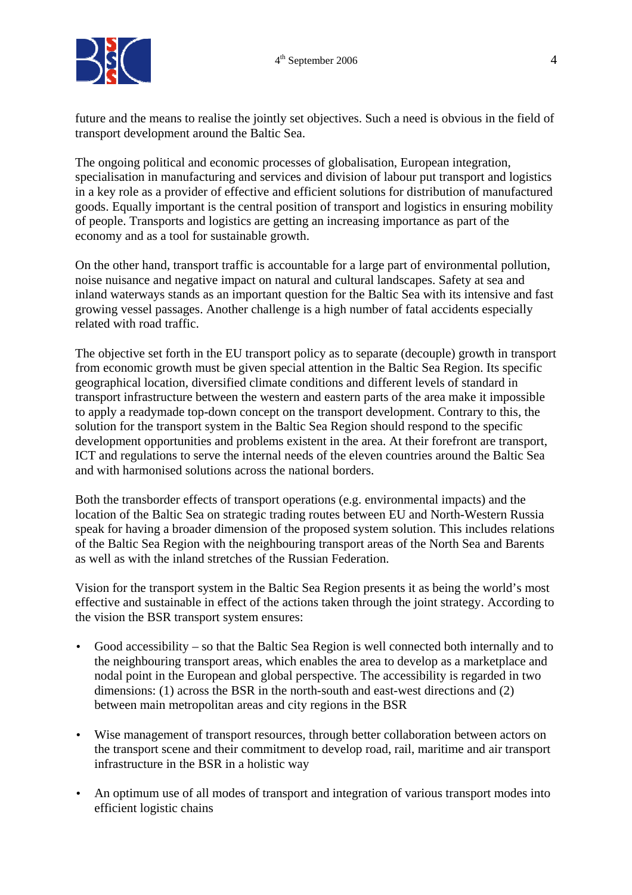

future and the means to realise the jointly set objectives. Such a need is obvious in the field of transport development around the Baltic Sea.

The ongoing political and economic processes of globalisation, European integration, specialisation in manufacturing and services and division of labour put transport and logistics in a key role as a provider of effective and efficient solutions for distribution of manufactured goods. Equally important is the central position of transport and logistics in ensuring mobility of people. Transports and logistics are getting an increasing importance as part of the economy and as a tool for sustainable growth.

On the other hand, transport traffic is accountable for a large part of environmental pollution, noise nuisance and negative impact on natural and cultural landscapes. Safety at sea and inland waterways stands as an important question for the Baltic Sea with its intensive and fast growing vessel passages. Another challenge is a high number of fatal accidents especially related with road traffic.

The objective set forth in the EU transport policy as to separate (decouple) growth in transport from economic growth must be given special attention in the Baltic Sea Region. Its specific geographical location, diversified climate conditions and different levels of standard in transport infrastructure between the western and eastern parts of the area make it impossible to apply a readymade top-down concept on the transport development. Contrary to this, the solution for the transport system in the Baltic Sea Region should respond to the specific development opportunities and problems existent in the area. At their forefront are transport, ICT and regulations to serve the internal needs of the eleven countries around the Baltic Sea and with harmonised solutions across the national borders.

Both the transborder effects of transport operations (e.g. environmental impacts) and the location of the Baltic Sea on strategic trading routes between EU and North-Western Russia speak for having a broader dimension of the proposed system solution. This includes relations of the Baltic Sea Region with the neighbouring transport areas of the North Sea and Barents as well as with the inland stretches of the Russian Federation.

Vision for the transport system in the Baltic Sea Region presents it as being the world's most effective and sustainable in effect of the actions taken through the joint strategy. According to the vision the BSR transport system ensures:

- Good accessibility so that the Baltic Sea Region is well connected both internally and to the neighbouring transport areas, which enables the area to develop as a marketplace and nodal point in the European and global perspective. The accessibility is regarded in two dimensions: (1) across the BSR in the north-south and east-west directions and (2) between main metropolitan areas and city regions in the BSR
- Wise management of transport resources, through better collaboration between actors on the transport scene and their commitment to develop road, rail, maritime and air transport infrastructure in the BSR in a holistic way
- An optimum use of all modes of transport and integration of various transport modes into efficient logistic chains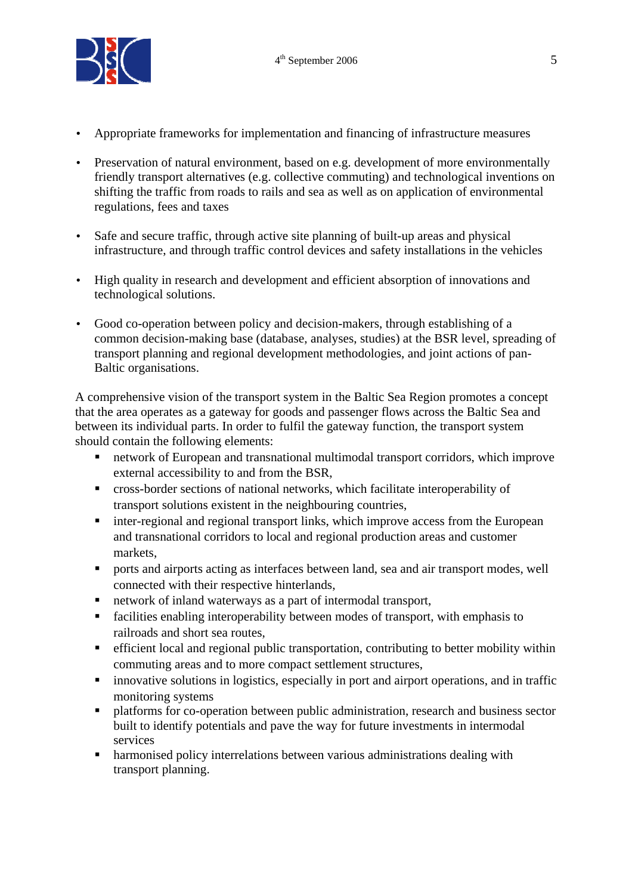

- Appropriate frameworks for implementation and financing of infrastructure measures
- Preservation of natural environment, based on e.g. development of more environmentally friendly transport alternatives (e.g. collective commuting) and technological inventions on shifting the traffic from roads to rails and sea as well as on application of environmental regulations, fees and taxes
- Safe and secure traffic, through active site planning of built-up areas and physical infrastructure, and through traffic control devices and safety installations in the vehicles
- High quality in research and development and efficient absorption of innovations and technological solutions.
- Good co-operation between policy and decision-makers, through establishing of a common decision-making base (database, analyses, studies) at the BSR level, spreading of transport planning and regional development methodologies, and joint actions of pan-Baltic organisations.

A comprehensive vision of the transport system in the Baltic Sea Region promotes a concept that the area operates as a gateway for goods and passenger flows across the Baltic Sea and between its individual parts. In order to fulfil the gateway function, the transport system should contain the following elements:

- network of European and transnational multimodal transport corridors, which improve external accessibility to and from the BSR,
- cross-border sections of national networks, which facilitate interoperability of transport solutions existent in the neighbouring countries,
- inter-regional and regional transport links, which improve access from the European and transnational corridors to local and regional production areas and customer markets,
- **Period a** interfaces between land, sea and air transport modes, well connected with their respective hinterlands,
- network of inland waterways as a part of intermodal transport,
- facilities enabling interoperability between modes of transport, with emphasis to railroads and short sea routes,
- efficient local and regional public transportation, contributing to better mobility within commuting areas and to more compact settlement structures,
- innovative solutions in logistics, especially in port and airport operations, and in traffic monitoring systems
- **PEDRIM** platforms for co-operation between public administration, research and business sector built to identify potentials and pave the way for future investments in intermodal services
- harmonised policy interrelations between various administrations dealing with transport planning.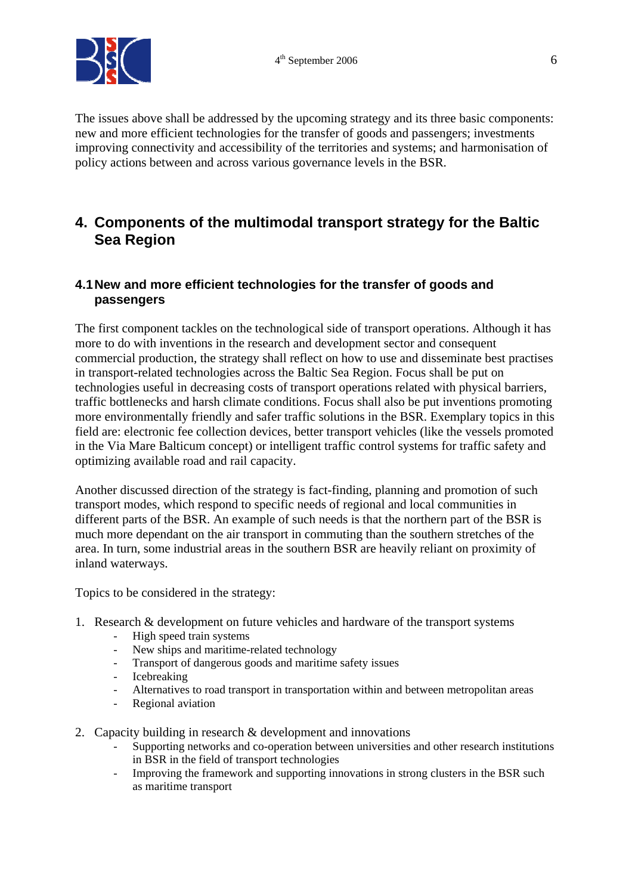

The issues above shall be addressed by the upcoming strategy and its three basic components: new and more efficient technologies for the transfer of goods and passengers; investments improving connectivity and accessibility of the territories and systems; and harmonisation of policy actions between and across various governance levels in the BSR.

### **4. Components of the multimodal transport strategy for the Baltic Sea Region**

#### **4.1 New and more efficient technologies for the transfer of goods and passengers**

The first component tackles on the technological side of transport operations. Although it has more to do with inventions in the research and development sector and consequent commercial production, the strategy shall reflect on how to use and disseminate best practises in transport-related technologies across the Baltic Sea Region. Focus shall be put on technologies useful in decreasing costs of transport operations related with physical barriers, traffic bottlenecks and harsh climate conditions. Focus shall also be put inventions promoting more environmentally friendly and safer traffic solutions in the BSR. Exemplary topics in this field are: electronic fee collection devices, better transport vehicles (like the vessels promoted in the Via Mare Balticum concept) or intelligent traffic control systems for traffic safety and optimizing available road and rail capacity.

Another discussed direction of the strategy is fact-finding, planning and promotion of such transport modes, which respond to specific needs of regional and local communities in different parts of the BSR. An example of such needs is that the northern part of the BSR is much more dependant on the air transport in commuting than the southern stretches of the area. In turn, some industrial areas in the southern BSR are heavily reliant on proximity of inland waterways.

Topics to be considered in the strategy:

- 1. Research & development on future vehicles and hardware of the transport systems
	- High speed train systems
	- New ships and maritime-related technology
	- Transport of dangerous goods and maritime safety issues
	- Icebreaking
	- Alternatives to road transport in transportation within and between metropolitan areas
	- Regional aviation
- 2. Capacity building in research & development and innovations
	- Supporting networks and co-operation between universities and other research institutions in BSR in the field of transport technologies
	- Improving the framework and supporting innovations in strong clusters in the BSR such as maritime transport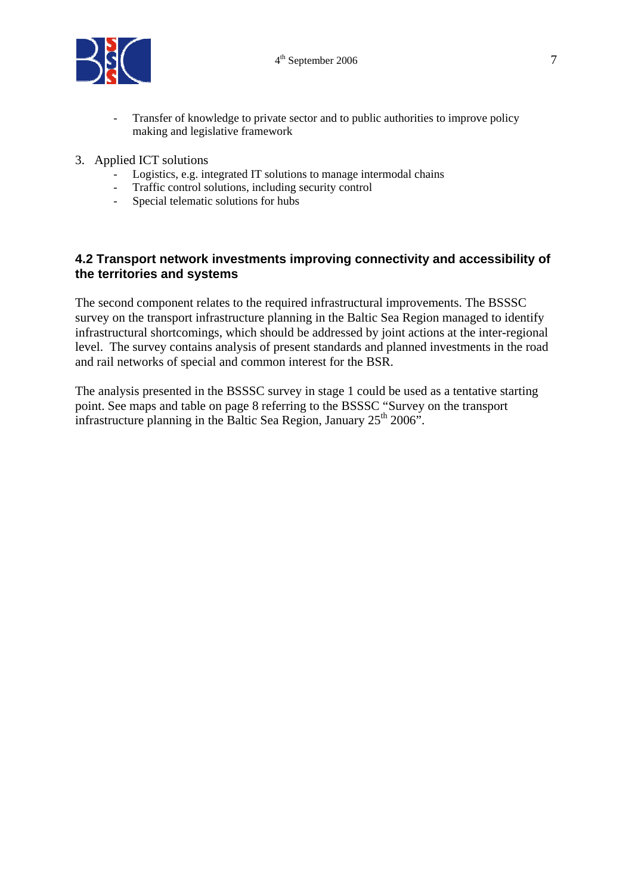

- Transfer of knowledge to private sector and to public authorities to improve policy making and legislative framework
- 3. Applied ICT solutions
	- Logistics, e.g. integrated IT solutions to manage intermodal chains
	- Traffic control solutions, including security control
	- Special telematic solutions for hubs

#### **4.2 Transport network investments improving connectivity and accessibility of the territories and systems**

The second component relates to the required infrastructural improvements. The BSSSC survey on the transport infrastructure planning in the Baltic Sea Region managed to identify infrastructural shortcomings, which should be addressed by joint actions at the inter-regional level. The survey contains analysis of present standards and planned investments in the road and rail networks of special and common interest for the BSR.

The analysis presented in the BSSSC survey in stage 1 could be used as a tentative starting point. See maps and table on page 8 referring to the BSSSC "Survey on the transport infrastructure planning in the Baltic Sea Region, January  $25<sup>th</sup> 2006$ ".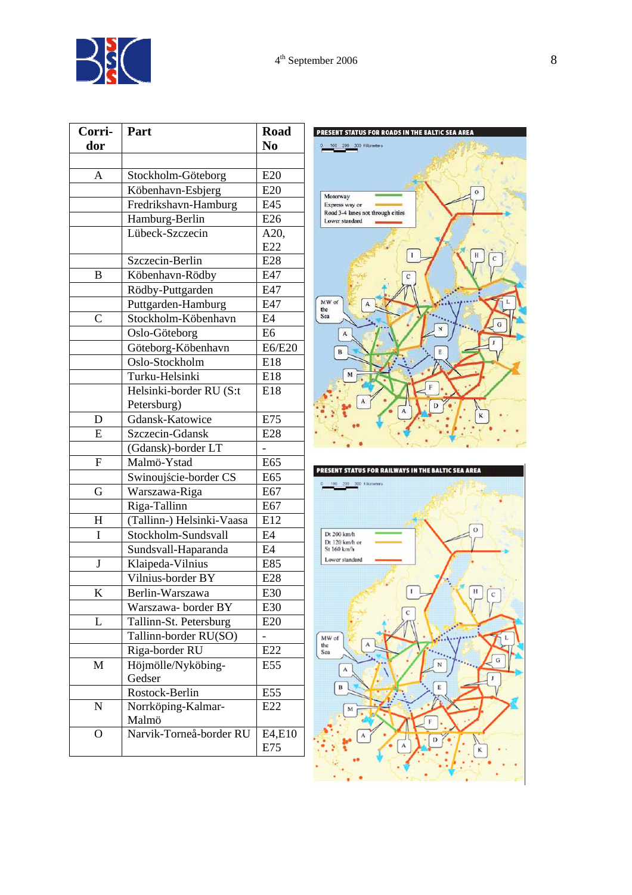| Corri-         | Part                      | <b>Road</b>    |
|----------------|---------------------------|----------------|
| dor            |                           | N <sub>0</sub> |
|                |                           |                |
| A              | Stockholm-Göteborg        | E20            |
|                | Köbenhavn-Esbjerg         | E20            |
|                | Fredrikshavn-Hamburg      | E45            |
|                | Hamburg-Berlin            | E26            |
|                | Lübeck-Szczecin           | A20,           |
|                |                           | E22            |
|                | Szczecin-Berlin           | E28            |
| B              | Köbenhavn-Rödby           | E47            |
|                | Rödby-Puttgarden          | E47            |
|                | Puttgarden-Hamburg        | E47            |
| $\overline{C}$ | Stockholm-Köbenhavn       | E4             |
|                | Oslo-Göteborg             | E <sub>6</sub> |
|                | Göteborg-Köbenhavn        | E6/E20         |
|                | Oslo-Stockholm            | E18            |
|                | Turku-Helsinki            | E18            |
|                | Helsinki-border RU (S:t   | E18            |
|                | Petersburg)               |                |
| D              | Gdansk-Katowice           | E75            |
| E              | Szczecin-Gdansk           | E28            |
|                | (Gdansk)-border LT        |                |
| $\overline{F}$ | Malmö-Ystad               | E65            |
|                | Swinoujście-border CS     | E65            |
| G              | Warszawa-Riga             | E67            |
|                | Riga-Tallinn              | E67            |
| H              | (Tallinn-) Helsinki-Vaasa | E12            |
| I              | Stockholm-Sundsvall       | E4             |
|                | Sundsvall-Haparanda       | E4             |
| $\bf J$        | Klaipeda-Vilnius          | E85            |
|                | Vilnius-border BY         | E28            |
| K              | Berlin-Warszawa           | E30            |
|                | Warszawa- border BY       | E30            |
| L              | Tallinn-St. Petersburg    | E20            |
|                | Tallinn-border RU(SO)     |                |
|                | Riga-border RU            | E22            |
| M              | Höjmölle/Nyköbing-        | E55            |
|                | Gedser                    |                |
|                | Rostock-Berlin            | E55            |
| $\mathbf N$    | Norrköping-Kalmar-        | E22            |
|                | Malmö                     |                |
| 0              | Narvik-Torneå-border RU   | E4,E10<br>E75  |
|                |                           |                |



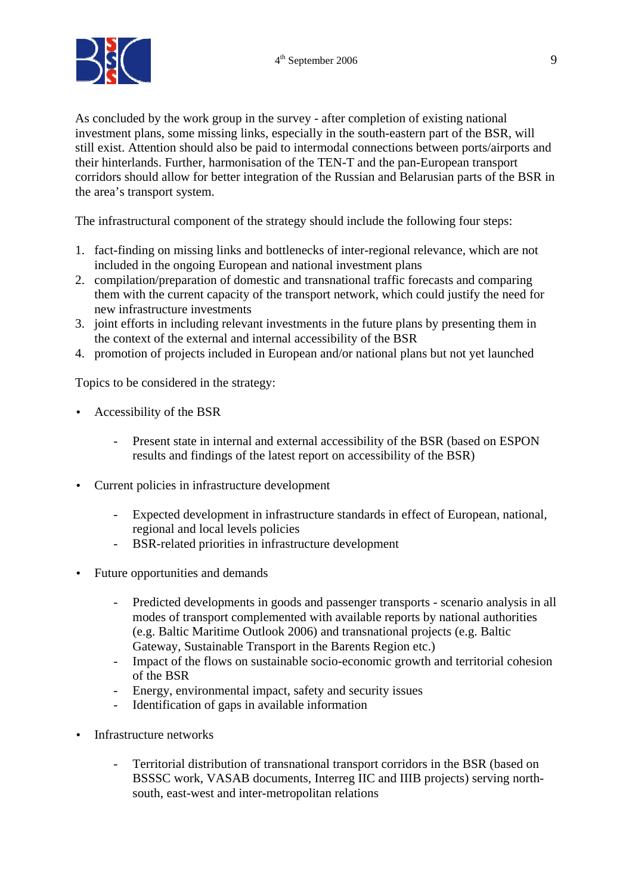

As concluded by the work group in the survey - after completion of existing national investment plans, some missing links, especially in the south-eastern part of the BSR, will still exist. Attention should also be paid to intermodal connections between ports/airports and their hinterlands. Further, harmonisation of the TEN-T and the pan-European transport corridors should allow for better integration of the Russian and Belarusian parts of the BSR in the area's transport system.

The infrastructural component of the strategy should include the following four steps:

- 1. fact-finding on missing links and bottlenecks of inter-regional relevance, which are not included in the ongoing European and national investment plans
- 2. compilation/preparation of domestic and transnational traffic forecasts and comparing them with the current capacity of the transport network, which could justify the need for new infrastructure investments
- 3. joint efforts in including relevant investments in the future plans by presenting them in the context of the external and internal accessibility of the BSR
- 4. promotion of projects included in European and/or national plans but not yet launched

Topics to be considered in the strategy:

- Accessibility of the BSR
	- Present state in internal and external accessibility of the BSR (based on ESPON results and findings of the latest report on accessibility of the BSR)
- Current policies in infrastructure development
	- Expected development in infrastructure standards in effect of European, national, regional and local levels policies
	- BSR-related priorities in infrastructure development
- Future opportunities and demands
	- Predicted developments in goods and passenger transports scenario analysis in all modes of transport complemented with available reports by national authorities (e.g. Baltic Maritime Outlook 2006) and transnational projects (e.g. Baltic Gateway, Sustainable Transport in the Barents Region etc.)
	- Impact of the flows on sustainable socio-economic growth and territorial cohesion of the BSR
	- Energy, environmental impact, safety and security issues
	- Identification of gaps in available information
- Infrastructure networks
	- Territorial distribution of transnational transport corridors in the BSR (based on BSSSC work, VASAB documents, Interreg IIC and IIIB projects) serving northsouth, east-west and inter-metropolitan relations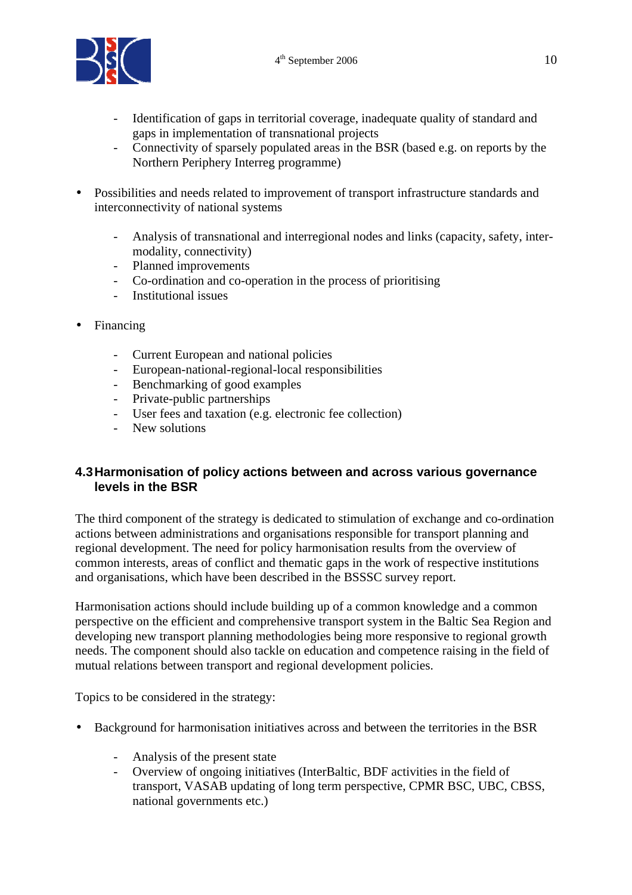

- Identification of gaps in territorial coverage, inadequate quality of standard and gaps in implementation of transnational projects
- Connectivity of sparsely populated areas in the BSR (based e.g. on reports by the Northern Periphery Interreg programme)
- Possibilities and needs related to improvement of transport infrastructure standards and interconnectivity of national systems
	- Analysis of transnational and interregional nodes and links (capacity, safety, intermodality, connectivity)
	- Planned improvements
	- Co-ordination and co-operation in the process of prioritising
	- Institutional issues
- **Financing** 
	- Current European and national policies
	- European-national-regional-local responsibilities
	- Benchmarking of good examples
	- Private-public partnerships
	- User fees and taxation (e.g. electronic fee collection)
	- New solutions

#### **4.3 Harmonisation of policy actions between and across various governance levels in the BSR**

The third component of the strategy is dedicated to stimulation of exchange and co-ordination actions between administrations and organisations responsible for transport planning and regional development. The need for policy harmonisation results from the overview of common interests, areas of conflict and thematic gaps in the work of respective institutions and organisations, which have been described in the BSSSC survey report.

Harmonisation actions should include building up of a common knowledge and a common perspective on the efficient and comprehensive transport system in the Baltic Sea Region and developing new transport planning methodologies being more responsive to regional growth needs. The component should also tackle on education and competence raising in the field of mutual relations between transport and regional development policies.

Topics to be considered in the strategy:

- Background for harmonisation initiatives across and between the territories in the BSR
	- Analysis of the present state
	- Overview of ongoing initiatives (InterBaltic, BDF activities in the field of transport, VASAB updating of long term perspective, CPMR BSC, UBC, CBSS, national governments etc.)